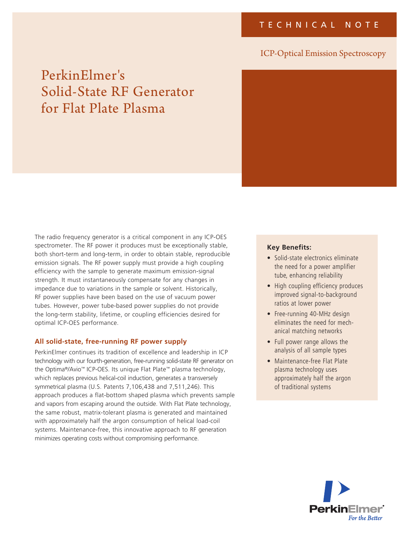# ICP-Optical Emission Spectroscopy

# PerkinElmer's Solid-State RF Generator for Flat Plate Plasma



The radio frequency generator is a critical component in any ICP-OES spectrometer. The RF power it produces must be exceptionally stable, both short-term and long-term, in order to obtain stable, reproducible emission signals. The RF power supply must provide a high coupling efficiency with the sample to generate maximum emission-signal strength. It must instantaneously compensate for any changes in impedance due to variations in the sample or solvent. Historically, RF power supplies have been based on the use of vacuum power tubes. However, power tube-based power supplies do not provide the long-term stability, lifetime, or coupling efficiencies desired for optimal ICP-OES performance.

## **All solid-state, free-running RF power supply**

PerkinElmer continues its tradition of excellence and leadership in ICP technology with our fourth-generation, free-running solid-state RF generator on the Optima®/Avio™ ICP-OES. Its unique Flat Plate™ plasma technology, which replaces previous helical-coil induction, generates a transversely symmetrical plasma (U.S. Patents 7,106,438 and 7,511,246). This approach produces a flat-bottom shaped plasma which prevents sample and vapors from escaping around the outside. With Flat Plate technology, the same robust, matrix-tolerant plasma is generated and maintained with approximately half the argon consumption of helical load-coil systems. Maintenance-free, this innovative approach to RF generation minimizes operating costs without compromising performance.

#### **Key Benefits:**

- Solid-state electronics eliminate the need for a power amplifier tube, enhancing reliability
- High coupling efficiency produces improved signal-to-background ratios at lower power
- Free-running 40-MHz design eliminates the need for mechanical matching networks
- Full power range allows the analysis of all sample types
- Maintenance-free Flat Plate plasma technology uses approximately half the argon of traditional systems